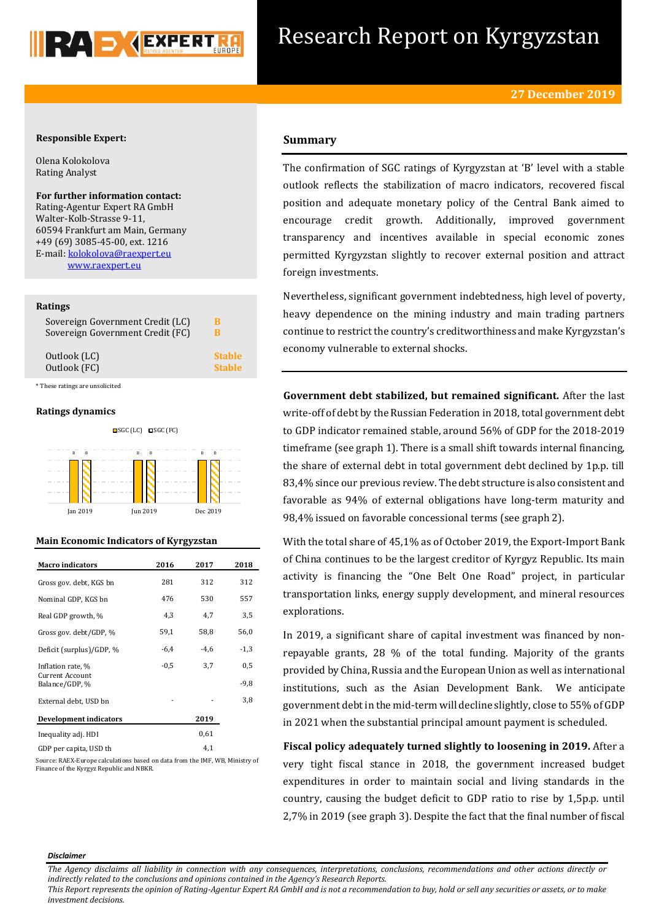

# Research Report on Kyrgyzstan

# **Responsible Expert:**

Olena Kolokolova Rating Analyst

**For further information contact:** Rating-Agentur Expert RA GmbH Walter-Kolb-Strasse 9-11, 60594 Frankfurt am Main, Germany +49 (69) 3085-45-00, ext. 1216 E-mail[: kolokolova@raexpert.eu](mailto:kolokolova@raexpert.eu) [www.raexpert.eu](http://raexpert.eu/)

# **Ratings**

| Sovereign Government Credit (LC) | В             |
|----------------------------------|---------------|
| Sovereign Government Credit (FC) | в             |
| Outlook (LC)                     | <b>Stable</b> |
| Outlook (FC)                     | <b>Stable</b> |

\* These ratings are unsolicited

# **Ratings dynamics**





# **Main Economic Indicators of Kyrgyzstan**

| <b>Macro indicators</b>                  | 2016   | 2017   | 2018   |
|------------------------------------------|--------|--------|--------|
|                                          |        |        |        |
| Gross gov. debt, KGS bn                  | 281    | 312    | 312    |
| Nominal GDP, KGS bn                      | 476    | 530    | 557    |
| Real GDP growth, %                       | 4,3    | 4,7    | 3,5    |
| Gross gov. debt/GDP, %                   | 59,1   | 58,8   | 56,0   |
| Deficit (surplus)/GDP, %                 | $-6,4$ | $-4,6$ | $-1,3$ |
| Inflation rate, %                        | $-0,5$ | 3,7    | 0,5    |
| <b>Current Account</b><br>Balance/GDP, % |        |        | $-9.8$ |
| External debt, USD bn                    |        |        | 3,8    |
| <b>Development indicators</b>            |        | 2019   |        |
| Inequality adj. HDI                      |        | 0,61   |        |
| GDP per capita, USD th                   |        | 4,1    |        |

Source: RAEX-Europe calculations based on data from the IMF, WB, Ministry of Finance of the Kyrgyz Republic and NBKR.

# **Summary**

The confirmation of SGC ratings of Kyrgyzstan at 'B' level with a stable outlook reflects the stabilization of macro indicators, recovered fiscal position and adequate monetary policy of the Central Bank aimed to encourage credit growth. Additionally, improved government transparency and incentives available in special economic zones permitted Kyrgyzstan slightly to recover external position and attract foreign investments.

Nevertheless, significant government indebtedness, high level of poverty, heavy dependence on the mining industry and main trading partners continue to restrict the country's creditworthiness and make Kyrgyzstan's economy vulnerable to external shocks.

**Government debt stabilized, but remained significant.** After the last write-off of debt by the Russian Federation in 2018, total government debt to GDP indicator remained stable, around 56% of GDP for the 2018-2019 timeframe (see graph 1). There is a small shift towards internal financing, the share of external debt in total government debt declined by 1p.p. till 83,4% since our previous review. The debt structure is also consistent and favorable as 94% of external obligations have long-term maturity and 98,4% issued on favorable concessional terms (see graph 2).

With the total share of 45,1% as of October 2019, the Export-Import Bank of China continues to be the largest creditor of Kyrgyz Republic. Its main activity is financing the "One Belt One Road" project, in particular transportation links, energy supply development, and mineral resources explorations.

In 2019, a significant share of capital investment was financed by nonrepayable grants, 28 % of the total funding. Majority of the grants provided by China, Russia and the European Union as well as international institutions, such as the Asian Development Bank. We anticipate government debt in the mid-term will decline slightly, close to 55% of GDP in 2021 when the substantial principal amount payment is scheduled.

**Fiscal policy adequately turned slightly to loosening in 2019.** After a very tight fiscal stance in 2018, the government increased budget expenditures in order to maintain social and living standards in the country, causing the budget deficit to GDP ratio to rise by 1,5p.p. until 2,7% in 2019 (see graph 3). Despite the fact that the final number of fiscal

#### *Disclaimer*

*This Report represents the opinion of Rating-Agentur Expert RA GmbH and is not a recommendation to buy, hold or sell any securities or assets, or to make investment decisions.*

*The Agency disclaims all liability in connection with any consequences, interpretations, conclusions, recommendations and other actions directly or indirectly related to the conclusions and opinions contained in the Agency's Research Reports.*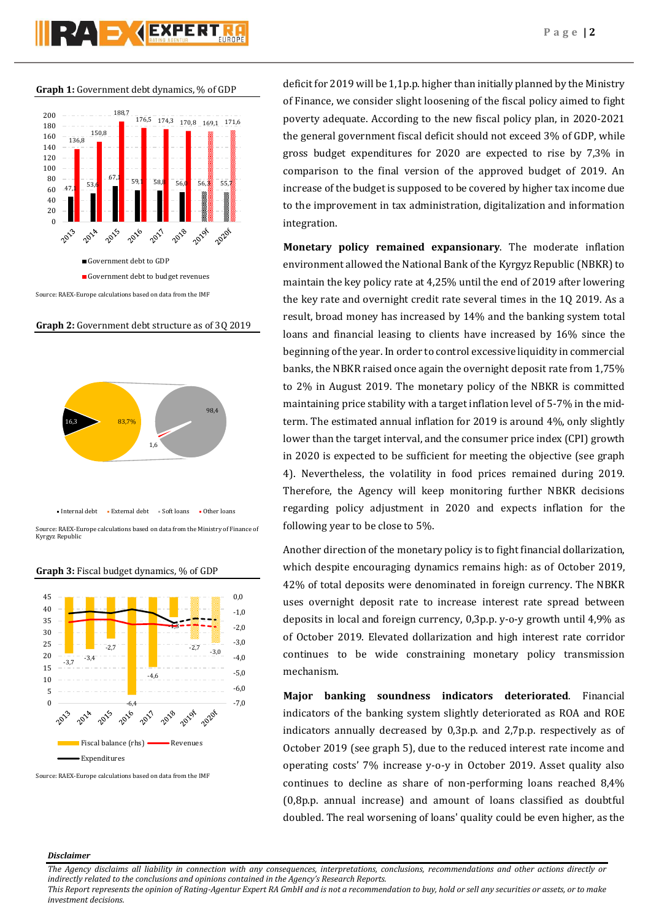$\bullet$ <sup>2</sup>  $\bullet$ <sup>2</sup>  $\bullet$ <sup>2</sup>  $\bullet$ <sup>2</sup>  $\bullet$   $\bullet$   $\bullet$   $\bullet$   $\bullet$ 



# **Graph 2:** Government debt structure as of 3Q 2019



Source: RAEX-Europe calculations based on data from the Ministry of Finance of Kyrgyz Republic





Source: RAEX-Europe calculations based on data from the IMF

deficit for 2019 will be 1,1p.p. higher than initially planned by the Ministry of Finance, we consider slight loosening of the fiscal policy aimed to fight poverty adequate. According to the new fiscal policy plan, in 2020-2021 the general government fiscal deficit should not exceed 3% of GDP, while gross budget expenditures for 2020 are expected to rise by 7,3% in comparison to the final version of the approved budget of 2019. An increase of the budget is supposed to be covered by higher tax income due to the improvement in tax administration, digitalization and information integration.

**Monetary policy remained expansionary**. The moderate inflation environment allowed the National Bank of the Kyrgyz Republic (NBKR) to maintain the key policy rate at 4,25% until the end of 2019 after lowering the key rate and overnight credit rate several times in the 1Q 2019. As a result, broad money has increased by 14% and the banking system total loans and financial leasing to clients have increased by 16% since the beginning of the year. In order to control excessive liquidity in commercial banks, the NBKR raised once again the overnight deposit rate from 1,75% to 2% in August 2019. The monetary policy of the NBKR is committed maintaining price stability with a target inflation level of 5-7% in the midterm. The estimated annual inflation for 2019 is around 4%, only slightly lower than the target interval, and the consumer price index (CPI) growth in 2020 is expected to be sufficient for meeting the objective (see graph 4). Nevertheless, the volatility in food prices remained during 2019. Therefore, the Agency will keep monitoring further NBKR decisions regarding policy adjustment in 2020 and expects inflation for the following year to be close to 5%.

Another direction of the monetary policy is to fight financial dollarization, which despite encouraging dynamics remains high: as of October 2019, 42% of total deposits were denominated in foreign currency. The NBKR uses overnight deposit rate to increase interest rate spread between deposits in local and foreign currency, 0,3p.p. y-o-y growth until 4,9% as of October 2019. Elevated dollarization and high interest rate corridor continues to be wide constraining monetary policy transmission mechanism.

**Major banking soundness indicators deteriorated**. Financial indicators of the banking system slightly deteriorated as ROA and ROE indicators annually decreased by 0,3p.p. and 2,7p.p. respectively as of October 2019 (see graph 5), due to the reduced interest rate income and operating costs' 7% increase y-o-y in October 2019. Asset quality also continues to decline as share of non-performing loans reached 8,4% (0,8p.p. annual increase) and amount of loans classified as doubtful doubled. The real worsening of loans' quality could be even higher, as the

## *Disclaimer*

*This Report represents the opinion of Rating-Agentur Expert RA GmbH and is not a recommendation to buy, hold or sell any securities or assets, or to make investment decisions.*

*The Agency disclaims all liability in connection with any consequences, interpretations, conclusions, recommendations and other actions directly or indirectly related to the conclusions and opinions contained in the Agency's Research Reports.*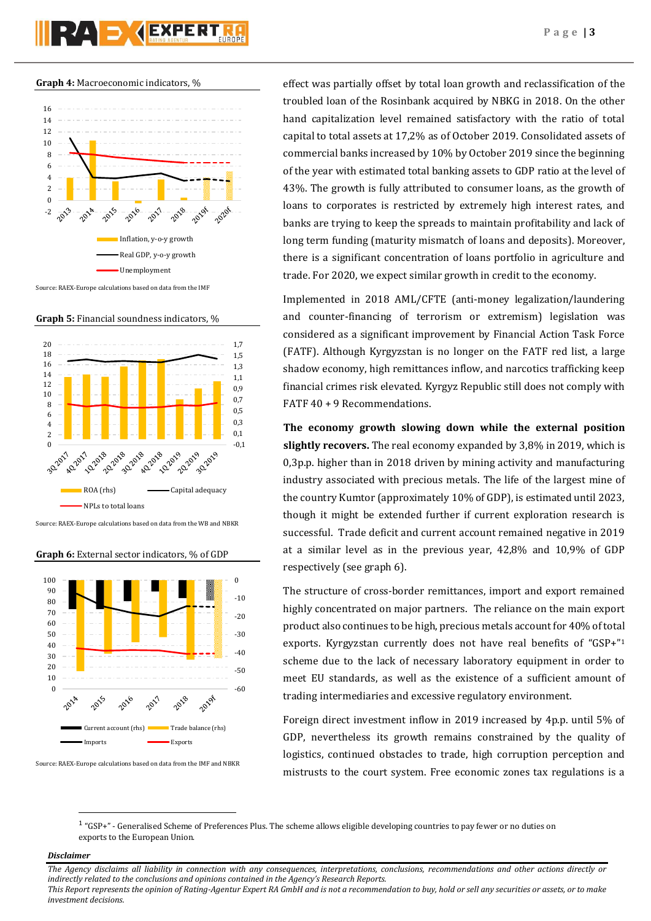**Graph 4:** Macroeconomic indicators, %



Source: RAEX-Europe calculations based on data from the IMF

**Graph 5:** Financial soundness indicators, %



Source: RAEX-Europe calculations based on data from the WB and NBKR

**Graph 6:** External sector indicators, % of GDP



Source: RAEX-Europe calculations based on data from the IMF and NBKR

effect was partially offset by total loan growth and reclassification of the troubled loan of the Rosinbank acquired by NBKG in 2018. On the other hand capitalization level remained satisfactory with the ratio of total capital to total assets at 17,2% as of October 2019. Consolidated assets of commercial banks increased by 10% by October 2019 since the beginning of the year with estimated total banking assets to GDP ratio at the level of 43%. The growth is fully attributed to consumer loans, as the growth of loans to corporates is restricted by extremely high interest rates, and banks are trying to keep the spreads to maintain profitability and lack of long term funding (maturity mismatch of loans and deposits). Moreover, there is a significant concentration of loans portfolio in agriculture and trade. For 2020, we expect similar growth in credit to the economy.

Implemented in 2018 AML/CFTE (anti-money legalization/laundering and counter-financing of terrorism or extremism) legislation was considered as a significant improvement by Financial Action Task Force (FATF). Although Kyrgyzstan is no longer on the FATF red list, a large shadow economy, high remittances inflow, and narcotics trafficking keep financial crimes risk elevated. Kyrgyz Republic still does not comply with FATF 40 + 9 Recommendations.

**The economy growth slowing down while the external position slightly recovers.** The real economy expanded by 3,8% in 2019, which is 0,3p.p. higher than in 2018 driven by mining activity and manufacturing industry associated with precious metals. The life of the largest mine of the country Kumtor (approximately 10% of GDP), is estimated until 2023, though it might be extended further if current exploration research is successful. Trade deficit and current account remained negative in 2019 at a similar level as in the previous year, 42,8% and 10,9% of GDP respectively (see graph 6).

The structure of cross-border remittances, import and export remained highly concentrated on major partners. The reliance on the main export product also continues to be high, precious metals account for 40% of total exports. Kyrgyzstan currently does not have real benefits of "GSP+"<sup>1</sup> scheme due to the lack of necessary laboratory equipment in order to meet EU standards, as well as the existence of a sufficient amount of trading intermediaries and excessive regulatory environment.

Foreign direct investment inflow in 2019 increased by 4p.p. until 5% of GDP, nevertheless its growth remains constrained by the quality of logistics, continued obstacles to trade, high corruption perception and mistrusts to the court system. Free economic zones tax regulations is a

<sup>1</sup> "GSP+" - Generalised Scheme of Preferences Plus. The scheme allows eligible developing countries to pay fewer or no duties on exports to the European Union.

# *Disclaimer*

**.** 

*investment decisions.*

*The Agency disclaims all liability in connection with any consequences, interpretations, conclusions, recommendations and other actions directly or indirectly related to the conclusions and opinions contained in the Agency's Research Reports. This Report represents the opinion of Rating-Agentur Expert RA GmbH and is not a recommendation to buy, hold or sell any securities or assets, or to make*